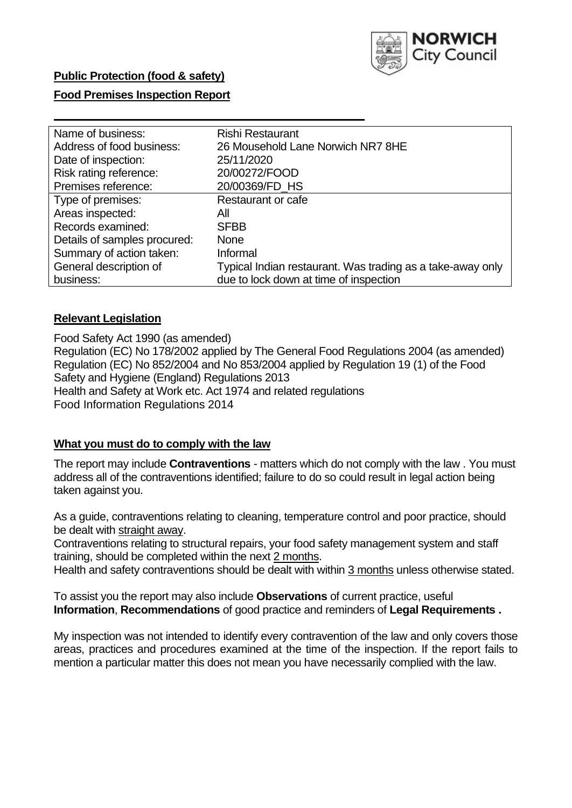

# **Food Premises Inspection Report**

| Name of business:            | <b>Rishi Restaurant</b>                                    |
|------------------------------|------------------------------------------------------------|
| Address of food business:    | 26 Mousehold Lane Norwich NR7 8HE                          |
| Date of inspection:          | 25/11/2020                                                 |
| Risk rating reference:       | 20/00272/FOOD                                              |
| Premises reference:          | 20/00369/FD_HS                                             |
| Type of premises:            | <b>Restaurant or cafe</b>                                  |
| Areas inspected:             | All                                                        |
| Records examined:            | <b>SFBB</b>                                                |
| Details of samples procured: | <b>None</b>                                                |
| Summary of action taken:     | Informal                                                   |
| General description of       | Typical Indian restaurant. Was trading as a take-away only |
| business:                    | due to lock down at time of inspection                     |

# **Relevant Legislation**

 Food Safety Act 1990 (as amended) Regulation (EC) No 178/2002 applied by The General Food Regulations 2004 (as amended) Regulation (EC) No 852/2004 and No 853/2004 applied by Regulation 19 (1) of the Food Safety and Hygiene (England) Regulations 2013 Health and Safety at Work etc. Act 1974 and related regulations Food Information Regulations 2014

# **What you must do to comply with the law**

 The report may include **Contraventions** - matters which do not comply with the law . You must address all of the contraventions identified; failure to do so could result in legal action being taken against you.

 As a guide, contraventions relating to cleaning, temperature control and poor practice, should be dealt with straight away.

 Contraventions relating to structural repairs, your food safety management system and staff training, should be completed within the next 2 months.

Health and safety contraventions should be dealt with within 3 months unless otherwise stated.

 To assist you the report may also include **Observations** of current practice, useful **Information**, **Recommendations** of good practice and reminders of **Legal Requirements .** 

 My inspection was not intended to identify every contravention of the law and only covers those areas, practices and procedures examined at the time of the inspection. If the report fails to mention a particular matter this does not mean you have necessarily complied with the law.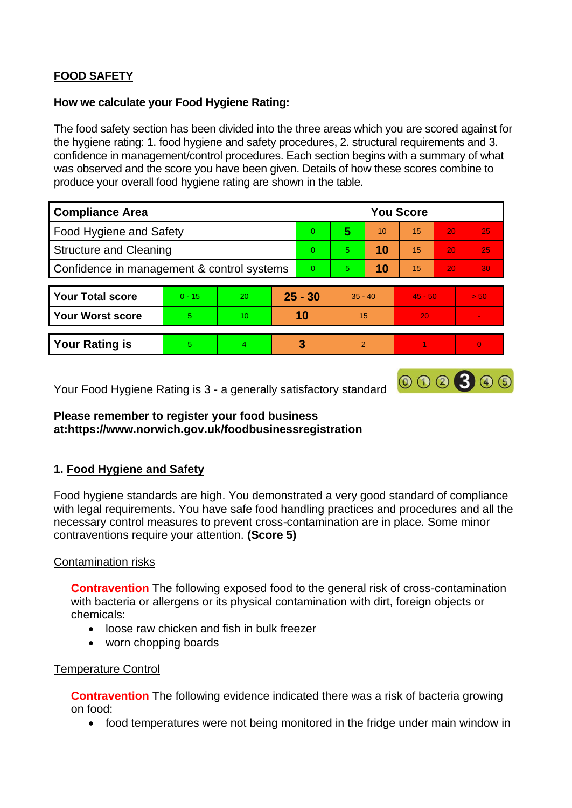# **FOOD SAFETY**

# **How we calculate your Food Hygiene Rating:**

 The food safety section has been divided into the three areas which you are scored against for the hygiene rating: 1. food hygiene and safety procedures, 2. structural requirements and 3. confidence in management/control procedures. Each section begins with a summary of what was observed and the score you have been given. Details of how these scores combine to produce your overall food hygiene rating are shown in the table.

| <b>Compliance Area</b>                     |          |    |           | <b>You Score</b> |                          |    |           |                 |                |  |  |
|--------------------------------------------|----------|----|-----------|------------------|--------------------------|----|-----------|-----------------|----------------|--|--|
| Food Hygiene and Safety                    |          |    |           | $\Omega$         | 5                        | 10 | 15        | 20              | 25             |  |  |
| <b>Structure and Cleaning</b>              |          |    | $\Omega$  | 5                | 10                       | 15 | 20        | 25              |                |  |  |
| Confidence in management & control systems |          |    | $\Omega$  | 5                | 10                       | 15 | 20        | 30 <sup>°</sup> |                |  |  |
|                                            |          |    |           |                  |                          |    |           |                 |                |  |  |
| <b>Your Total score</b>                    | $0 - 15$ | 20 | $25 - 30$ |                  | $35 - 40$                |    | $45 - 50$ |                 | > 50           |  |  |
| <b>Your Worst score</b>                    | 5        | 10 | 10        |                  | 15                       |    | 20        |                 | $\blacksquare$ |  |  |
|                                            |          |    |           |                  |                          |    |           |                 |                |  |  |
| <b>Your Rating is</b>                      | 5        | 4  |           | 3                | $\overline{\mathcal{P}}$ |    |           |                 | $\Omega$       |  |  |

Your Food Hygiene Rating is 3 - a generally satisfactory standard

# **Please remember to register your food business at:https://www.norwich.gov.uk/foodbusinessregistration**

# **1. Food Hygiene and Safety**

 with legal requirements. You have safe food handling practices and procedures and all the Food hygiene standards are high. You demonstrated a very good standard of compliance necessary control measures to prevent cross-contamination are in place. Some minor contraventions require your attention. **(Score 5)** 

000300

# Contamination risks

 **Contravention** The following exposed food to the general risk of cross-contamination with bacteria or allergens or its physical contamination with dirt, foreign objects or chemicals:

- loose raw chicken and fish in bulk freezer
- worn chopping boards

### Temperature Control

 **Contravention** The following evidence indicated there was a risk of bacteria growing on food:

• food temperatures were not being monitored in the fridge under main window in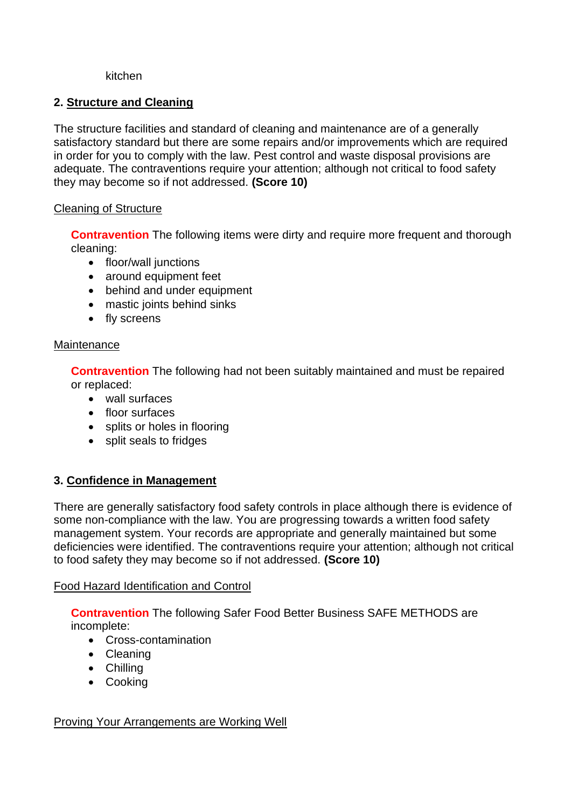### kitchen

# **2. Structure and Cleaning**

The structure facilities and standard of cleaning and maintenance are of a generally satisfactory standard but there are some repairs and/or improvements which are required in order for you to comply with the law. Pest control and waste disposal provisions are adequate. The contraventions require your attention; although not critical to food safety they may become so if not addressed. **(Score 10)** 

# Cleaning of Structure

**Contravention** The following items were dirty and require more frequent and thorough cleaning:

- floor/wall junctions
- around equipment feet
- behind and under equipment
- mastic joints behind sinks
- fly screens

# **Maintenance**

**Contravention** The following had not been suitably maintained and must be repaired or replaced:

- wall surfaces
- floor surfaces
- splits or holes in flooring
- split seals to fridges

# **3. Confidence in Management**

 There are generally satisfactory food safety controls in place although there is evidence of some non-compliance with the law. You are progressing towards a written food safety management system. Your records are appropriate and generally maintained but some deficiencies were identified. The contraventions require your attention; although not critical to food safety they may become so if not addressed. **(Score 10)** 

# Food Hazard Identification and Control

**Contravention** The following Safer Food Better Business SAFE METHODS are incomplete:

- Cross-contamination
- Cleaning
- Chilling
- Cooking

# Proving Your Arrangements are Working Well